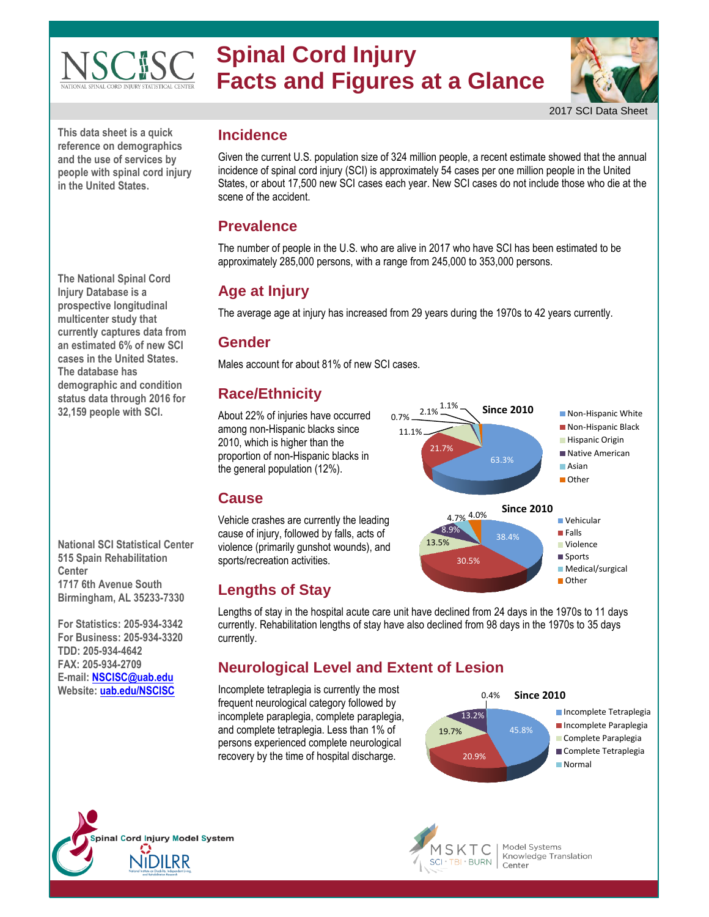#### **Spinal Cord Injury SCISC Facts and Figures at a Glance**



2017 SCI Data Sheet

**This data sheet is a quick reference on demographics and the use of services by people with spinal cord injury in the United States.**

**The National Spinal Cord Injury Database is a prospective longitudinal multicenter study that currently captures data from an estimated 6% of new SCI cases in the United States. The database has demographic and condition status data through 2016 for 32,159 people with SCI.** 

**National SCI Statistical Center 515 Spain Rehabilitation Center 1717 6th Avenue South Birmingham, AL 35233-7330**

**For Statistics: 205-934-3342 For Business: 205-934-3320 TDD: 205-934-4642 FAX: 205-934-2709 E-mail[: NSCISC@uab.edu](mailto:NSCISC@uab.edu) Website: [uab.edu/NSCISC](http://www.uab.edu/nscisc)**

#### **Incidence**

Given the current U.S. population size of 324 million people, a recent estimate showed that the annual incidence of spinal cord injury (SCI) is approximately 54 cases per one million people in the United States, or about 17,500 new SCI cases each year. New SCI cases do not include those who die at the scene of the accident.

#### **Prevalence**

The number of people in the U.S. who are alive in 2017 who have SCI has been estimated to be approximately 285,000 persons, with a range from 245,000 to 353,000 persons.

# **Age at Injury**

The average age at injury has increased from 29 years during the 1970s to 42 years currently.

## **Gender**

Males account for about 81% of new SCI cases.

## **Race/Ethnicity**

About 22% of injuries have occurred among non-Hispanic blacks since 2010, which is higher than the proportion of non-Hispanic blacks in the general population (12%).



#### cause of injury, followed by falls, acts of violence (primarily gunshot wounds), and

**Cause**

**Lengths of Stay**

sports/recreation activities.

Lengths of stay in the hospital acute care unit have declined from 24 days in the 1970s to 11 days currently. Rehabilitation lengths of stay have also declined from 98 days in the 1970s to 35 days currently.

## **Neurological Level and Extent of Lesion**

Incomplete tetraplegia is currently the most frequent neurological category followed by incomplete paraplegia, complete paraplegia, and complete tetraplegia. Less than 1% of persons experienced complete neurological recovery by the time of hospital discharge.







Model Systems Knowledge Translation Center